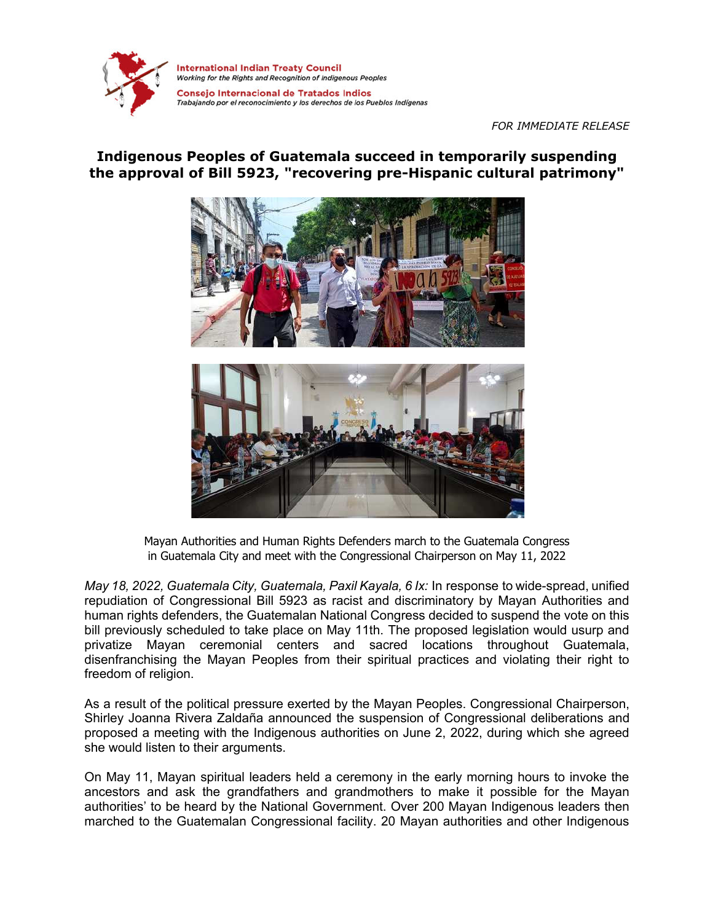

**International Indian Treaty Council** Working for the Rights and Recognition of Indigenous Peoples

Consejo Internacional de Tratados Indios Trabajando por el reconocimiento y los derechos de los Pueblos Indígenas

## *FOR IMMEDIATE RELEASE*

## **Indigenous Peoples of Guatemala succeed in temporarily suspending the approval of Bill 5923, "recovering pre-Hispanic cultural patrimony"**



Mayan Authorities and Human Rights Defenders march to the Guatemala Congress in Guatemala City and meet with the Congressional Chairperson on May 11, 2022

*May 18, 2022, Guatemala City, Guatemala, Paxil Kayala, 6 Ix:* In response to wide-spread, unified repudiation of Congressional Bill 5923 as racist and discriminatory by Mayan Authorities and human rights defenders, the Guatemalan National Congress decided to suspend the vote on this bill previously scheduled to take place on May 11th. The proposed legislation would usurp and privatize Mayan ceremonial centers and sacred locations throughout Guatemala, disenfranchising the Mayan Peoples from their spiritual practices and violating their right to freedom of religion.

As a result of the political pressure exerted by the Mayan Peoples. Congressional Chairperson, Shirley Joanna Rivera Zaldaña announced the suspension of Congressional deliberations and proposed a meeting with the Indigenous authorities on June 2, 2022, during which she agreed she would listen to their arguments.

On May 11, Mayan spiritual leaders held a ceremony in the early morning hours to invoke the ancestors and ask the grandfathers and grandmothers to make it possible for the Mayan authorities' to be heard by the National Government. Over 200 Mayan Indigenous leaders then marched to the Guatemalan Congressional facility. 20 Mayan authorities and other Indigenous